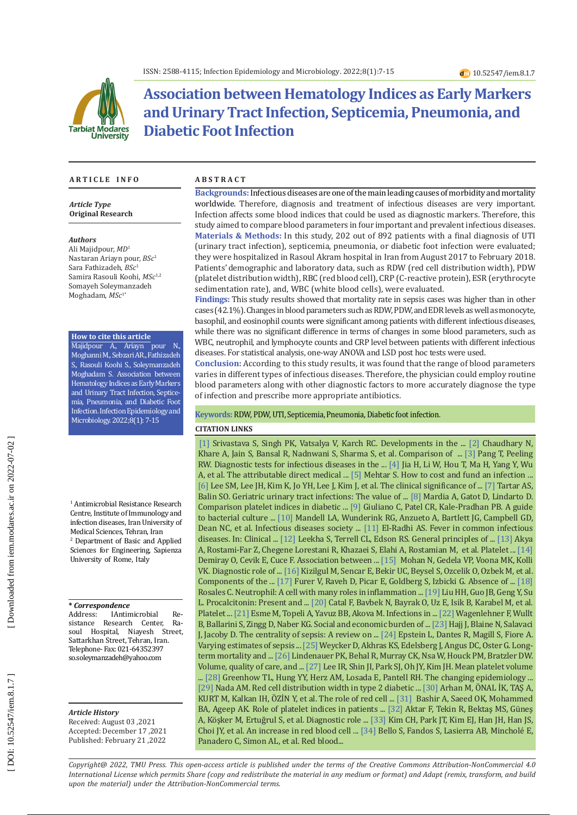

# **Association between Hematology Indices as Early Markers and Urinary Tract Infection, Septicemia, Pneumonia, and Diabetic Foot Infection**

#### **A R T I C L E I N F O A B S T R A C T**

*Article Type* **Original Research**

#### *Authors*

Ali Majidpour, *MD* 1 Nastaran Ariayn pour, *BSc* 1 Sara Fathizadeh, *BSc* 1 Samira Rasouli Koohi, *MSc*1,2 Somayeh Soleymanzadeh Moghadam, *MSc* 1 \*

#### **How to cite this article**

Majidpour A., Ariayn pour N., Moghanni M., Sebzari AR., Fathizadeh S., Rasouli Koohi S., Soleymanzadeh Moghadam S. Association between Hematology Indices as Early Markers and Urinary Tract Infection, Septice mia, Pneumonia, and Diabetic Foot Infection. Infection Epidemiology and Microbiology. 2022;8(1): 7-15

1 Antimicrobial Resistance Research Centre, Institute of Immunology and infection diseases, Iran University of Medical Sciences, Tehran, Iran 2 Department of Basic and Applied Sciences for Engineering, Sapienza University of Rome, Italy

#### **\*** *Correspondence*

Address: IAntimicrobial<br>sistance Research Cente  $Re-$ Research Center,  $Ra$ soul Hospital, Niayesh Street, Sattarkhan Street, Tehran, Iran. Telephone- Fax: 021-64352397 [so.soleymanzadeh@yahoo.com](mailto:so.soleymanzadeh@yahoo.com)

#### *Article History* Received: August 03 ,2021

Accepted: December 17 ,2021 Published: February 21 ,2022

**Backgrounds:**Infectious diseases are one of the main leading causes of morbidity and mortality worldwide. Therefore, diagnosis and treatment of infectious diseases are very important. Infection affects some blood indices that could be used as diagnostic markers. Therefore, this study aimed to compare blood parameters in four important and prevalent infectious diseases. **Materials & Methods:** In this study, 202 out of 892 patients with a final diagnosis of UTI (urinary tract infection), septicemia, pneumonia, or diabetic foot infection were evaluated; they were hospitalized in Rasoul Akram hospital in Iran from August 2017 to February 2018. Patients' demographic and laboratory data, such as RDW (red cell distribution width), PDW (platelet distribution width), RBC (red blood cell), CRP (C-reactive protein), ESR (erythrocyte sedimentation rate), and, WBC (white blood cells), were evaluated.

**Findings:** This study results showed that mortality rate in sepsis cases was higher than in other cases (42.1%). Changes in blood parameters such as RDW, PDW, and EDR levels as well as monocyte, basophil, and eosinophil counts were significant among patients with different infectious diseases, while there was no significant difference in terms of changes in some blood parameters, such as WBC, neutrophil, and lymphocyte counts and CRP level between patients with different infectious diseases. For statistical analysis, one-way ANOVA and LSD post hoc tests were used.

**Conclusion:** According to this study results, it was found that the range of blood parameters varies in different types of infectious diseases . Therefore, the physician could employ routine blood parameters along with other diagnostic factors to more accurately diagnose the type of infection and prescribe more appropriate antibiotics.

#### **Keywords:** RDW, PDW, UTI, Septicemia, Pneumonia, Diabetic foot infection .

### **CITATION LINKS**

[\[1\]](https://www.ncbi.nlm.nih.gov/pmc/articles/PMC6124492/) Srivastava S, Singh PK, Vatsalya V, Karch RC. Developments in the ... [\[2\]](http://www.njlm.net/articles/PDF/2145/20063_F\(GH\)_PF1\(VsuGH\)_PFA\(GH\)_PF2\(VsuGH\).pdf) Chaudhary N, Khare A, Jain S, Bansal R, Nadnwani S, Sharma S, et al. Comparison of ... [\[3\]](https://academic.oup.com/trstmh/article-abstract/101/9/856/1933620) Pang T, Peeling RW. Diagnostic tests for infectious diseases in the ... [\[4\]](https://www.hindawi.com/journals/bmri/2019/7634528/) Jia H, Li W, Hou T, Ma H, Yang Y, Wu A, et al. The attributable direct medical ... [\[5\]](https://www.sciencedirect.com/science/article/pii/019567019390009O) Mehtar S. How to cost and fund an infection ... [\[6\]](https://www.ncbi.nlm.nih.gov/pmc/articles/pmc5065335/) Lee SM, Lee JH, Kim K, Jo YH, Lee J, Kim J, et al. The clinical significance of ... [\[7\]](https://www.ncbi.nlm.nih.gov/pmc/articles/PMC6408671/) Tartar AS, Balin SO. Geriatric urinary tract infections: The value of ... [\[8\]](https://www.researchgate.net/publication/323952386_Comparison_platelet_indices_in_diabetic_patients_with_and_without_diabetic_foot_ulcer) Mardia A, Gatot D, Lindarto D. Comparison platelet indices in diabetic ... [\[9\]](https://www.ncbi.nlm.nih.gov/pmc/articles/pmc6428495/) Giuliano C, Patel CR, Kale-Pradhan PB. A guide to bacterial culture ... [\[10\]](https://academic.oup.com/cid/article-abstract/44/Supplement_2/S27/372079) Mandell LA, Wunderink RG, Anzueto A, Bartlett JG, Campbell GD, Dean NC, et al. Infectious diseases society ... [\[11\]](https://link.springer.com/chapter/10.1007/978-3-319-92336-9_5) El-Radhi AS. Fever in common infectious diseases. In: Clinical ... [\[12\]](https://www.ncbi.nlm.nih.gov/pmc/articles/PMC3031442/) Leekha S, Terrell CL, Edson RS. General principles of ... [\[13\]](http://ijpho.ssu.ac.ir/article-1-442-en.pdf) Akya A, Rostami-Far Z, Chegene Lorestani R, Khazaei S, Elahi A, Rostamian M, et al. Platelet ... [\[14\]](https://www.ncbi.nlm.nih.gov/pmc/articles/pmc5020604/) Demiray O, Cevik E, Cuce F. Association between ... [\[15\]](https://jmscr.igmpublication.org/home/index.php/archive/163-volume-07-issue-06-june-2019/7497-diagnostic-role-of-rdw-pdw-as-early-markers-of-sepsis-in-chemotherapy-induced-febrile-neutropenia) Mohan N, Gedela VP, Voona MK, Kolli VK. Diagnostic role of ... [\[16\]](https://dergipark.org.tr/en/pub/dicletip/article/410811) Kizilgul M, Sencar E, Bekir UC, Beysel S, Ozcelik O, Ozbek M, et al. Components of the ... [\[17\]](https://www.nature.com/articles/pcrj201123) Furer V, Raveh D, Picar E, Goldberg S, Izbicki G. Absence of ... [\[18\]](https://www.frontiersin.org/articles/10.3389/fphys.2018.00113/full) Rosales C. Neutrophil: A cell with many roles in inflammation ... [\[19\]](https://idp.springer.com/authorize/casa?redirect_uri=https://link.springer.com/article/10.1007/s11845-015-1327-0&casa_token=4hzxTLoyuNcAAAAA:NgZVLVKMpMtjTVTiN1F6vyiqWnR2n0z2dSL5UvZWgdfPd6hXXojC5C34HDZvEkh4-Le6kXyKjNdqhD0yL40) Liu HH, Guo JB, Geng Y, Su L. Procalcitonin: Present and ... [\[20\]](https://www.tandfonline.com/doi/abs/10.1080/08860220801947389) Catal F, Bavbek N, Bayrak O, Uz E, Isik B, Karabel M, et al. Platelet ... [\[21\]](https://www.frontiersin.org/articles/10.3389/fmed.2019.00118/full) Esme M, Topeli A, Yavuz BB, Akova M. Infections in ... [\[22\]](https://www.tandfonline.com/doi/abs/10.1080/14737167.2017.1359543) Wagenlehner F, Wullt B, Ballarini S, Zingg D, Naber KG. Social and economic burden of ... [\[23\]](https://www.mdpi.com/321438) Hajj J, Blaine N, Salavaci J, Jacoby D. The centrality of sepsis: A review on ... [\[24\]](https://www.jstor.org/stable/24858003) Epstein L, Dantes R, Magill S, Fiore A. Varying estimates of sepsis ... [\[25\]](https://journals.lww.com/ccmjournal/Fulltext/2003/09000/Long_term_mortality_and_medical_care_charges_in.9.aspx) Weycker D, Akhras KS, Edelsberg J, Angus DC, Oster G. Longterm mortality and ... [\[26\]](https://www.acpjournals.org/doi/abs/10.7326/0003-4819-144-4-200602210-00008) Lindenauer PK, Behal R, Murray CK, Nsa W, Houck PM, Bratzler DW. Volume, quality of care, and ... [\[27\]](https://www.nature.com/articles/srep18072) Lee IR, Shin JI, Park SJ, Oh JY, Kim JH. Mean platelet volume ... [\[28\]](https://journals.lww.com/pidj/Fulltext/2014/06000/The_Changing_Epidemiology_of_Serious_Bacterial.10.aspx) Greenhow TL, Hung YY, Herz AM, Losada E, Pantell RH. The changing epidemiology ...  $[29]$  Nada AM. Red cell distribution width in type 2 diabetic ...  $[30]$  Arhan M, ONAL IK, TAŞ A, KURT M, Kalkan IH, OZIN Y, et al. The role of red cell ... [\[31\]](https://www.researchgate.net/publication/298353568_Role_of_Platelet_Indices_in_Patients_with_Dengue_Infection_in_Red_Sea_State_Sudan) Bashir A, Saeed OK, Mohammed BA, Ageep AK. Role of platelet indices in patients ... [\[32\]](https://link.springer.com/article/10.1186/s13052-016-0211-5) Aktar F, Tekin R, Bektaş MS, Güneş A, Köşker M, Ertuğrul S, et al. Diagnostic role ... [\[33\]](https://www.researchgate.net/publication/259251717_An_increase_in_red_blood_cell_distribution_width_from_baseline_predicts_mortality_in_patients_with_severe_sepsis_or_septic_shock) Kim CH, Park JT, Kim EJ, Han JH, Han JS, Choi JY, et al. An increase in red blood cell ... [\[34\]](https://www.sciencedirect.com/science/article/pii/S0954611115300196) Bello S, Fandos S, Lasierra AB, Mincholé E, Panadero C, Simon AL, et al. Red blood...

*Copyright@ 2022, TMU Press. This open-access article is published under the terms of the Creative Commons Attribution-NonCommercial 4.0 International License which permits Share (copy and redistribute the material in any medium or format) and Adapt (remix, transform, and build upon the material) under the Attribution-NonCommercial terms.*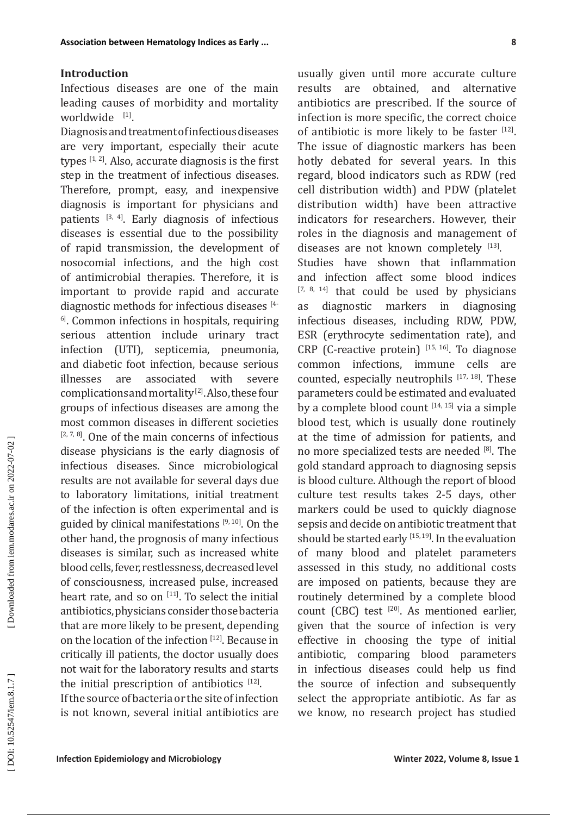Infectious diseases are one of the main leading causes of morbidity and mortality worldwide [1].

Association between Hemitology Index is Enfw.<br>
Interductions discusses are one of the main results are obtained, and alternative conditions in the converted of the source of monitodity and Microbiology constrained by the Diagnosis and treatment of infectious diseases are very important, especially their acute types  $[1, 2]$ . Also, accurate diagnosis is the first step in the treatment of infectious diseases. Therefore, prompt, easy, and inexpensive diagnosis is important for physicians and patients  $[3, 4]$ . Early diagnosis of infectious diseases is essential due to the possibility of rapid transmission, the development of nosocomial infections, and the high cost of antimicrobial therapies. Therefore, it is important to provide rapid and accurate diagnostic methods for infectious diseases [4- <sup>6]</sup>. Common infections in hospitals, requiring serious attention include urinary tract infection (UTI), septicemia, pneumonia, and diabetic foot infection, because serious<br>illnesses are associated with severe are associated with severe complications and mortality [2]. Also, these four groups of infectious diseases are among the most common diseases in different societies  $[2, 7, 8]$ . One of the main concerns of infectious disease physicians is the early diagnosis of infectious diseases. Since microbiological results are not available for several days due to laboratory limitations, initial treatment of the infection is often experimental and is guided by clinical manifestations  $[9, 10]$ . On the other hand, the prognosis of many infectious diseases is similar, such as increased white blood cells, fever, restlessness, decreased level of consciousness, increased pulse, increased heart rate, and so on  $[11]$ . To select the initial antibiotics, physicians consider those bacteria that are more likely to be present, depending on the location of the infection [12]. Because in critically ill patients, the doctor usually does not wait for the laboratory results and starts the initial prescription of antibiotics  $[12]$ . If the source of bacteria or the site of infection is not known, several initial antibiotics are

usually given until more accurate culture results are obtained, and alternative antibiotics are prescribed. If the source of infection is more specific, the correct choice of antibiotic is more likely to be faster  $[12]$ . The issue of diagnostic markers has been hotly debated for several years. In this regard, blood indicators such as RDW (red cell distribution width) and PDW (platelet distribution width) have been attractive indicators for researchers. However, their roles in the diagnosis and management of diseases are not known completely [13].

Studies have shown that inflammation and infection affect some blood indices  $[7, 8, 14]$  that could be used by physicians as diagnostic markers in diagnosing infectious diseases, including RDW, PDW, ESR (erythrocyte sedimentation rate), and CRP (C-reactive protein)  $[15, 16]$ . To diagnose common infections, immune cells are counted, especially neutrophils  $[17, 18]$ . These parameters could be estimated and evaluated by a complete blood count  $[14, 15]$  via a simple blood test, which is usually done routinely at the time of admission for patients, and no more specialized tests are needed <sup>[8]</sup>. The gold standard approach to diagnosing sepsis is blood culture. Although the report of blood culture test results takes 2-5 days, other markers could be used to quickly diagnose sepsis and decide on antibiotic treatment that should be started early  $[15, 19]$ . In the evaluation of many blood and platelet parameters assessed in this study, no additional costs are imposed on patients, because they are routinely determined by a complete blood count (CBC) test [20]. As mentioned earlier, given that the source of infection is very effective in choosing the type of initial antibiotic, comparing blood parameters in infectious diseases could help us find the source of infection and subsequently select the appropriate antibiotic. As far as we know, no research project has studied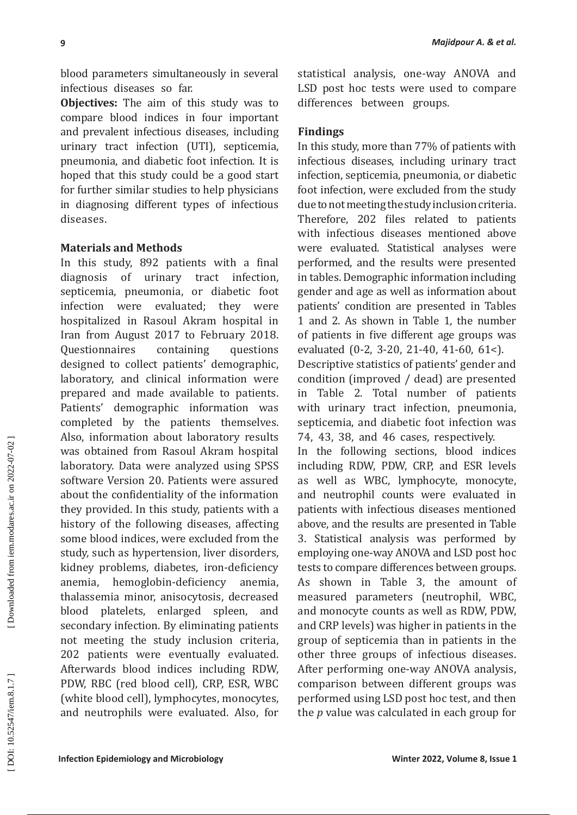blood parameters simultaneously in several infectious diseases so far.

**Objectives:** The aim of this study was to compare blood indices in four important and prevalent infectious diseases, including urinary tract infection (UTI), septicemia, pneumonia, and diabetic foot infection. It is hoped that this study could be a good start for further similar studies to help physicians in diagnosing different types of infectious diseases.

## **Materials and Methods**

**I**<br>**I** bood parameters simulaneously in several<br>
Infections dissouss so for this study was m  $\frac{1}{25}$  for the comparison<br>
Infections dissouss to form simulations and Microbiology and Microbiology and<br> **Of the study of t** In this study, 892 patients with a final diagnosis of urinary tract infection, septicemia, pneumonia, or diabetic foot infection were evaluated; they were hospitalized in Rasoul Akram hospital in Iran from August 2017 to February 2018.<br>Questionnaires containing questions Questionnaires containing questions designed to collect patients' demographic, laboratory, and clinical information were prepared and made available to patients . Patients' demographic information was completed by the patients themselves. Also, information about laboratory results was obtained from Rasoul Akram hospital laboratory. Data were analyzed using SPSS software Version 20. Patients were assured about the confidentiality of the information they provided. In this study, patients with a history of the following diseases, affecting some blood indices, were excluded from the study, such as hypertension, liver disorders, kidney problems, diabetes, iron-deficiency anemia, hemoglobin-deficiency anemia, thalassemia minor, anisocytosis, decreased blood platelets, enlarged spleen, and secondary infection. By eliminating patients not meeting the study inclusion criteria, 202 patients were eventually evaluated. Afterwards blood indices including RDW, PDW, RBC (red blood cell), CRP, ESR, WBC (white blood cell), lymphocytes, monocytes, and neutrophils were evaluated. Also, for

statistical analysis, one-way ANOVA and LSD post hoc tests were used to compare differences between groups.

## **Findings**

In this study, more than 77% of patients with infectious diseases, including urinary tract infection, septicemia, pneumonia, or diabetic foot infection, were excluded from the study due to not meeting the study inclusion criteria. Therefore, 202 files related to patients with infectious diseases mentioned above were evaluated. Statistical analyses were performed, and the results were presented in tables. Demographic information including gender and age as well as information about 1 and 2. As shown in Table 1, the number of patients in five different age groups was evaluated (0-2, 3-20, 21-40, 41-60, 61<).

Descriptive statistics of patients' gender and condition (improved / dead) are presented in Table 2. Total number of patients with urinary tract infection, pneumonia, septicemia, and diabetic foot infection was 74, 43, 38, and 46 cases, respectively.

In the following sections, blood indices including RDW, PDW, CRP, and ESR levels as well as WBC, lymphocyte, monocyte, and neutrophil counts were evaluated in patients with infectious diseases mentioned above, and the results are presented in Table 3. Statistical analysis was performed by employing one-way ANOVA and LSD post hoc tests to compare differences between groups. As shown in Table 3, the amount of measured parameters (neutrophil, WBC, and monocyte counts as well as RDW, PDW, and CRP levels) was higher in patients in the group of septicemia than in patients in the other three groups of infectious diseases. After performing one-way ANOVA analysis, comparison between different groups was performed using LSD post hoc test, and then the *p* value was calculated in each group for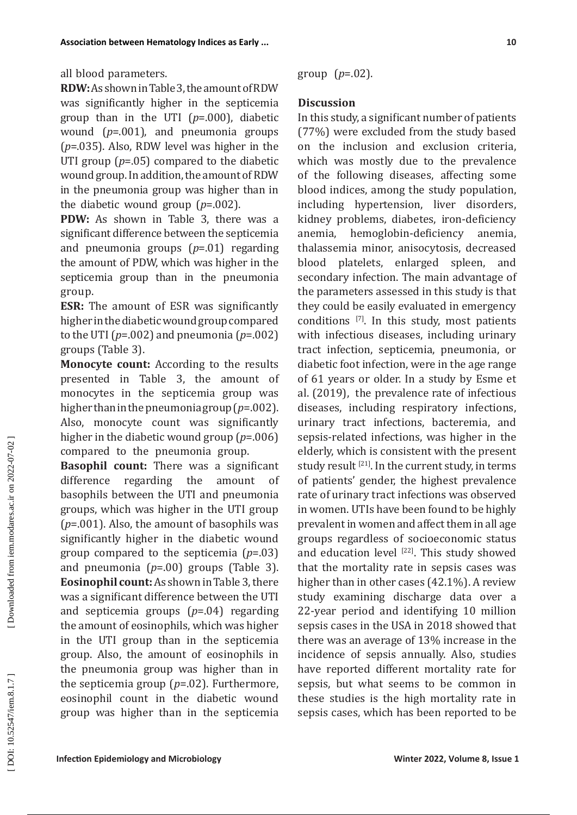**RDW:** As shown in Table 3, the amount of RDW was significantly higher in the septicemia group than in the UTI ( *p*=.000), diabetic wound ( *p*=.001), and pneumonia groups ( *p*=.035). Also, RDW level was higher in the UTI group ( *p*=.05) compared to the diabetic wound group. In addition, the amount of RDW in the pneumonia group was higher than in the diabetic wound group ( *p*=.002).

**PDW:** As shown in Table 3, there was a significant difference between the septicemia and pneumonia groups ( *p*=.01) regarding the amount of PDW, which was higher in the septicemia group than in the pneumonia group.

**ESR:** The amount of ESR was significantly higher in the diabetic wound group compared to the UTI ( *p*=.002) and pneumonia ( *p*=.002) groups (Table 3).

**Monocyte count:** According to the results presented in Table 3, the amount of monocytes in the septicemia group was higher than in the pneumonia group ( *p*=.002). Also, monocyte count was significantly higher in the diabetic wound group ( *p*=.006) compared to the pneumonia group.

**Basophil count:** There was a significant difference regarding the amount of basophils between the UTI and pneumonia<br>groups, which was higher in the UTI group  $(p=0.01)$ . Also, the amount of basophils was significantly higher in the diabetic wound group compared to the septicemia ( *p*=.03) and pneumonia ( *p*=.00) groups (Table 3). **Eosinophil count:** As shown in Table 3, there was a significant difference between the UTI and septicemia groups ( *p*=.04) regarding the amount of eosinophils, which was higher in the UTI group than in the septicemia group. Also, the amount of eosinophils in the pneumonia group was higher than in the septicemia group ( *p*=.02). Furthermore, eosinophil count in the diabetic wound group was higher than in the septicemia

group ( *p*=.02).

## **Discussion**

In this study, a significant number of patients (77%) were excluded from the study based on the inclusion and exclusion criteria, which was mostly due to the prevalence of the following diseases, affecting some blood indices, among the study population, including hypertension, liver disorders, kidney problems, diabetes, iron-deficiency anemia, hemoglobin-deficiency anemia, thalassemia minor, anisocytosis, decreased blood platelets, enlarged spleen, and secondary infection. The main advantage of the parameters assessed in this study is that they could be easily evaluated in emergency conditions [7]. In this study, most patients with infectious diseases, including urinary tract infection, septicemia, pneumonia, or diabetic foot infection, were in the age range of 61 years or older. In a study by Esme et al. (2019), the prevalence rate of infectious diseases, including respiratory infections, urinary tract infections, bacteremia, and sepsis-related infections, was higher in the elderly, which is consistent with the present study result  $[21]$ . In the current study, in terms of patients' gender, the highest prevalence rate of urinary tract infections was observed in women. UTIs have been found to be highly prevalent in women and affect them in all age groups regardless of socioeconomic status and education level  $[22]$ . This study showed that the mortality rate in sepsis cases was higher than in other cases (42.1%). A review study examining discharge data over a 22-year period and identifying 10 million sepsis cases in the USA in 2018 showed that there was an average of 13% increase in the incidence of sepsis annually. Also, studies have reported different mortality rate for sepsis, but what seems to be common in these studies is the high mortality rate in sepsis cases, which has been reported to be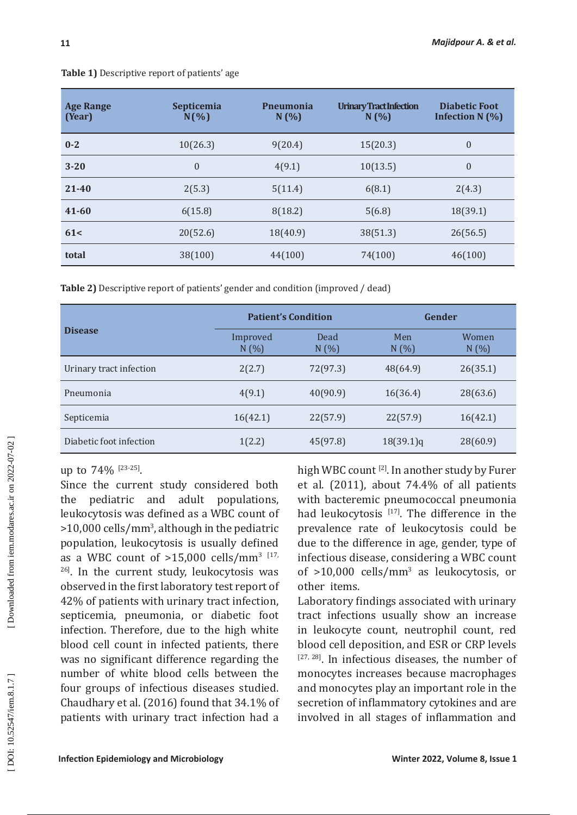| <b>Age Range</b><br>(Year) | Septicemia<br>$N(\%)$ | <b>Pneumonia</b><br>N(%) | <b>Urinary Tract Infection</b><br>N(%) | <b>Diabetic Foot</b><br>Infection N (%) |
|----------------------------|-----------------------|--------------------------|----------------------------------------|-----------------------------------------|
| $0 - 2$                    | 10(26.3)              | 9(20.4)                  | 15(20.3)                               | $\overline{0}$                          |
| $3 - 20$                   | $\mathbf{0}$          | 4(9.1)                   | 10(13.5)                               | $\overline{0}$                          |
| $21 - 40$                  | 2(5.3)                | 5(11.4)                  | 6(8.1)                                 | 2(4.3)                                  |
| $41 - 60$                  | 6(15.8)               | 8(18.2)                  | 5(6.8)                                 | 18(39.1)                                |
| 61<                        | 20(52.6)              | 18(40.9)                 | 38(51.3)                               | 26(56.5)                                |
| total                      | 38(100)               | 44(100)                  | 74(100)                                | 46(100)                                 |

**Table 1)** Descriptive report of patients' age

**Table 2)** Descriptive report of patients' gender and condition (improved / dead)

|                         | <b>Patient's Condition</b> |              | Gender       |                       |  |
|-------------------------|----------------------------|--------------|--------------|-----------------------|--|
| <b>Disease</b>          | Improved<br>N(%)           | Dead<br>N(%) | Men<br>N(% ) | <b>Women</b><br>N(% ) |  |
| Urinary tract infection | 2(2.7)                     | 72(97.3)     | 48(64.9)     | 26(35.1)              |  |
| Pneumonia               | 4(9.1)                     | 40(90.9)     | 16(36.4)     | 28(63.6)              |  |
| Septicemia              | 16(42.1)                   | 22(57.9)     | 22(57.9)     | 16(42.1)              |  |
| Diabetic foot infection | 1(2.2)                     | 45(97.8)     | 18(39.1)q    | 28(60.9)              |  |

# up to  $74\%$  <sup>[23-25]</sup>.

Since the current study considered both the pediatric and adult populations, leukocytosis was defined as a WBC count of >10,000 cells/mm 3 , although in the pediatric population, leukocytosis is usually defined as a WBC count of  $>15,000$  cells/mm<sup>3</sup>  $117,$ <sup>26]</sup>. In the current study, leukocytosis was observed in the first laboratory test report of 42% of patients with urinary tract infection, septicemia, pneumonia, or diabetic foot infection. Therefore, due to the high white blood cell count in infected patients, there was no significant difference regarding the number of white blood cells between the four groups of infectious diseases studied. Chaudhary et al. (2016) found that 34.1% of patients with urinary tract infection had a

high WBC count<sup>[2]</sup>. In another study by Furer et al. (2011), about 74.4% of all patients with bacteremic pneumococcal pneumonia had leukocytosis  $[17]$ . The difference in the prevalence rate of leukocytosis could be due to the difference in age, gender, type of infectious disease, considering a WBC count of >10,000 cells/mm 3 as leukocytosis, or other items.

Laboratory findings associated with urinary tract infections usually show an increase in leukocyte count, neutrophil count, red blood cell deposition, and ESR or CRP levels  $[27, 28]$ . In infectious diseases, the number of monocytes increases because macrophages and monocytes play an important role in the secretion of inflammatory cytokines and are involved in all stages of inflammation and

**11**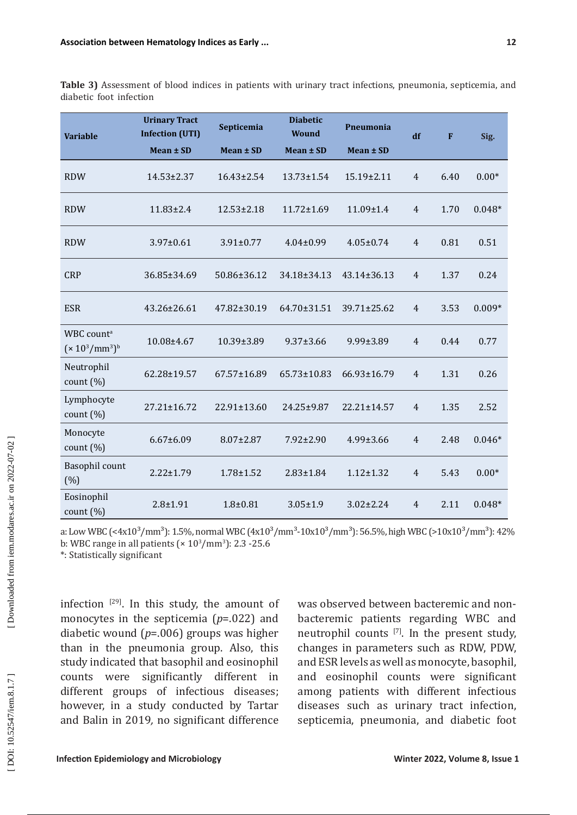|                         |  |  | Table 3) Assessment of blood indices in patients with urinary tract infections, pneumonia, septicemia, and |  |  |
|-------------------------|--|--|------------------------------------------------------------------------------------------------------------|--|--|
| diabetic foot infection |  |  |                                                                                                            |  |  |

| <b>Variable</b>                             | <b>Urinary Tract</b><br><b>Infection (UTI)</b> | Septicemia        | <b>Diabetic</b><br><b>Wound</b> | Pneumonia         | df             | F    | Sig.     |
|---------------------------------------------|------------------------------------------------|-------------------|---------------------------------|-------------------|----------------|------|----------|
|                                             | Mean ± SD                                      | Mean ± SD         | Mean ± SD                       | Mean ± SD         |                |      |          |
| <b>RDW</b>                                  | $14.53 \pm 2.37$                               | $16.43 \pm 2.54$  | $13.73 \pm 1.54$                | $15.19 \pm 2.11$  | $\overline{4}$ | 6.40 | $0.00*$  |
| <b>RDW</b>                                  | $11.83 \pm 2.4$                                | $12.53 \pm 2.18$  | $11.72 \pm 1.69$                | $11.09 \pm 1.4$   | $\overline{4}$ | 1.70 | $0.048*$ |
| <b>RDW</b>                                  | 3.97±0.61                                      | $3.91 \pm 0.77$   | $4.04 \pm 0.99$                 | $4.05 \pm 0.74$   | $\overline{4}$ | 0.81 | 0.51     |
| <b>CRP</b>                                  | 36.85±34.69                                    | 50.86±36.12       | 34.18±34.13                     | $43.14 \pm 36.13$ | $\overline{4}$ | 1.37 | 0.24     |
| <b>ESR</b>                                  | $43.26 \pm 26.61$                              | 47.82±30.19       | 64.70±31.51                     | 39.71±25.62       | $\overline{4}$ | 3.53 | $0.009*$ |
| WBC count <sup>a</sup><br>$(x 10^3/mm^3)^b$ | 10.08±4.67                                     | 10.39±3.89        | $9.37 \pm 3.66$                 | 9.99±3.89         | $\overline{4}$ | 0.44 | 0.77     |
| Neutrophil<br>count $(\%)$                  | 62.28±19.57                                    | 67.57±16.89       | $65.73 \pm 10.83$               | 66.93±16.79       | $\overline{4}$ | 1.31 | 0.26     |
| Lymphocyte<br>count $(\%)$                  | $27.21 \pm 16.72$                              | $22.91 \pm 13.60$ | 24.25±9.87                      | 22.21±14.57       | $\overline{4}$ | 1.35 | 2.52     |
| Monocyte<br>count $(\%)$                    | $6.67 \pm 6.09$                                | 8.07±2.87         | 7.92±2.90                       | 4.99±3.66         | $\overline{4}$ | 2.48 | $0.046*$ |
| Basophil count<br>(%)                       | $2.22 \pm 1.79$                                | $1.78 \pm 1.52$   | $2.83 \pm 1.84$                 | $1.12 \pm 1.32$   | $\overline{4}$ | 5.43 | $0.00*$  |
| Eosinophil<br>count $(\%)$                  | $2.8 + 1.91$                                   | $1.8 + 0.81$      | $3.05 \pm 1.9$                  | $3.02 \pm 2.24$   | $\overline{4}$ | 2.11 | $0.048*$ |

a: Low WBC (<4x10<sup>3</sup>/mm<sup>3</sup>): 1.5%, normal WBC (4x10<sup>3</sup>/mm<sup>3</sup>-10x10<sup>3</sup>/mm<sup>3</sup>): 56.5%, high WBC (>10x10<sup>3</sup>/mm<sup>3</sup>): 42% b: WBC range in all patients ( $\times 10^3/\text{mm}^3$ ): 2.3 -25.6

\*: Statistically significant

infection  $[29]$ . In this study, the amount of monocytes in the septicemia ( *p*=.022) and diabetic wound ( *p*=.006) groups was higher than in the pneumonia group. Also, this study indicated that basophil and eosinophil counts were significantly different in different groups of infectious diseases; however, in a study conducted by Tartar and Balin in 2019*,* no significant difference

was observed between bacteremic and nonbacteremic patients regarding WBC and neutrophil counts [7]. In the present study, changes in parameters such as RDW, PDW, and ESR levels as well as monocyte, basophil, and eosinophil counts were significant among patients with different infectious diseases such as urinary tract infection, septicemia, pneumonia, and diabetic foot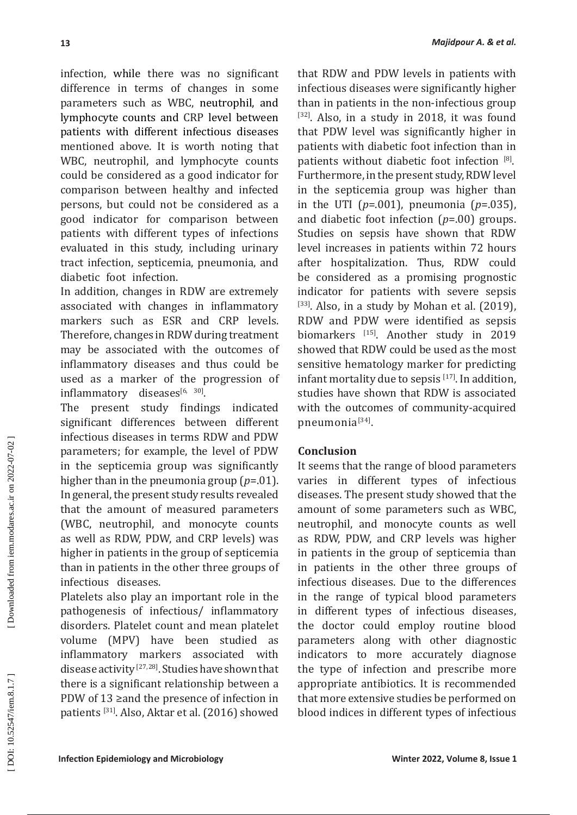infection, while there was no significant difference in terms of changes in some parameters such as WBC, neutrophil, and lymphocyte counts and CRP level between patients with different infectious diseases mentioned above. It is worth noting that WBC, neutrophil, and lymphocyte counts could be considered as a good indicator for comparison between healthy and infected persons, but could not be considered as a good indicator for comparison between patients with different types of infections evaluated in this study, including urinary tract infection, septicemia, pneumonia, and diabetic foot infection.

In addition, changes in RDW are extremely associated with changes in inflammatory markers such as ESR and CRP levels. Therefore, changes in RDW during treatment may be associated with the outcomes of inflammatory diseases and thus could be used as a marker of the progression of  $inflammatory$  diseases $^{[6,-30]}$ .

The present study findings indicated significant differences between different infectious diseases in terms RDW and PDW parameters; for example, the level of PDW in the septicemia group was significantly higher than in the pneumonia group ( *p*=.01). In general, the present study results revealed that the amount of measured parameters (WBC, neutrophil, and monocyte counts as well as RDW, PDW, and CRP levels) was higher in patients in the group of septicemia than in patients in the other three groups of infectious diseases.

Platelets also play an important role in the pathogenesis of infectious/ inflammatory disorders. Platelet count and mean platelet volume (MPV) have been studied as inflammatory markers associated with disease activity<sup>[27,28]</sup>. Studies have shown that there is a significant relationship between a PDW of 13 ≥and the presence of infection in patients [31]. Also, Aktar et al. (2016) showed

that RDW and PDW levels in patients with infectious diseases were significantly higher than in patients in the non-infectious group [32]. Also, in a study in 2018, it was found that PDW level was significantly higher in patients with diabetic foot infection than in patients without diabetic foot infection  $[8]$ . Furthermore, in the present study, RDW level in the septicemia group was higher than in the UTI ( *p*=.001), pneumonia ( *p*=.035), and diabetic foot infection ( *p*=.00) groups. Studies on sepsis have shown that RDW level increases in patients within 72 hours after hospitalization. Thus, RDW could be considered as a promising prognostic indicator for patients with severe sepsis  $[33]$ . Also, in a study by Mohan et al.  $(2019)$ , RDW and PDW were identified as sepsis biomarkers [15]. Another study in 2019 showed that RDW could be used as the most sensitive hematology marker for predicting infant mortality due to sepsis [17]. In addition, studies have shown that RDW is associated with the outcomes of community-acquired pneumonia<sup>[34]</sup>.

## **Conclusion**

It seems that the range of blood parameters varies in different types of infectious diseases . The present study showed that the amount of some parameters such as WBC, neutrophil, and monocyte counts as well as RDW, PDW, and CRP levels was higher in patients in the group of septicemia than in patients in the other three groups of infectious diseases. Due to the differences in the range of typical blood parameters in different types of infectious diseases, the doctor could employ routine blood parameters along with other diagnostic indicators to more accurately diagnose the type of infection and prescribe more appropriate antibiotics. It is recommended that more extensive studies be performed on blood indices in different types of infectious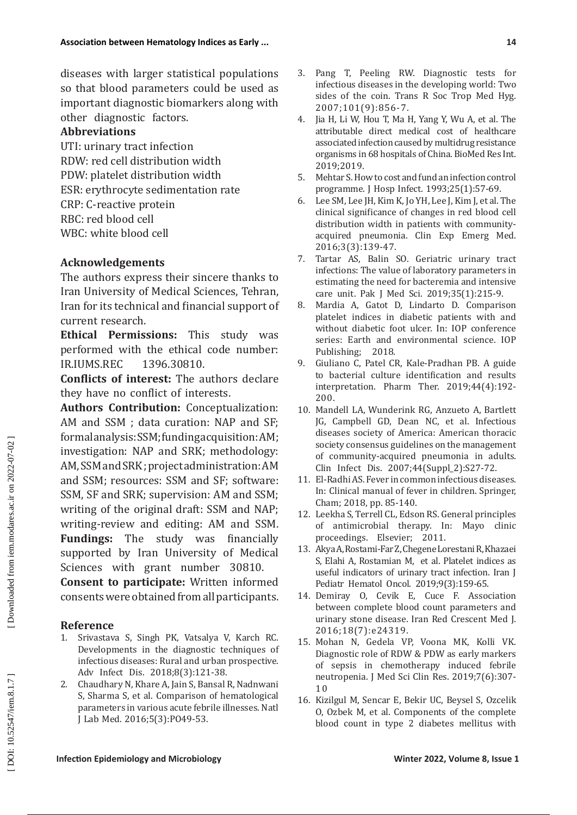diseases with larger statistical populations so that blood parameters could be used as important diagnostic biomarkers along with other diagnostic factors.

## **Abbreviations**

UTI: urinary tract infection RDW: red cell distribution width PDW: platelet distribution width ESR: erythrocyte sedimentation rate CRP: C-reactive protein RBC: red blood cell WBC: white blood cell

## **Acknowledgements**

The authors express their sincere thanks to Iran University of Medical Sciences, Tehran, Iran for its technical and financial support of current research.

**Ethical Permissions:** This study was performed with the ethical code number:<br>IR.IUMS.REC 1396.30810. IR.IUMS.REC

**Conflicts of interest:** The authors declare they have no conflict of interests.

**Authors Contribution:** Conceptualization: AM and SSM ; data curation: NAP and SF; formal analysis: SSM; funding acquisition: AM; investigation: NAP and SRK; methodology: AM, SSM and SRK ; project administration: AM and SSM; resources: SSM and SF; software: SSM, SF and SRK; supervision: AM and SSM; writing of the original draft: SSM and NAP; writing-review and editing: AM and SSM. **Fundings:** The study was financially supported by Iran University of Medical Sciences with grant number 30810.

**Consent to participate:** Written informed consents were obtained from all participants.

## **Reference**

- 1. Srivastava S, Singh PK, Vatsalya V, Karch RC. Developments in the diagnostic techniques of infectious diseases: Rural and urban prospective. Adv Infect Dis. 2018;8(3):121-38.
- 2. Chaudhary N, Khare A, Jain S, Bansal R, Nadnwani S, Sharma S, et al. Comparison of hematological parameters in various acute febrile illnesses. Natl J Lab Med. 2016;5(3):PO49-53.
- 3. Pang T, Peeling RW. Diagnostic tests for infectious diseases in the developing world: Two sides of the coin. Trans R Soc Trop Med Hyg. 2007;101(9):856-7.
- 4. Jia H, Li W, Hou T, Ma H, Yang Y, Wu A, et al. The attributable direct medical cost of healthcare associated infection caused by multidrug resistance organisms in 68 hospitals of China. BioMed Res Int. 2019;2019.
- 5. Mehtar S. How to cost and fund an infection control programme. J Hosp Infect. 1993;25(1):57-69.
- 6. Lee SM, Lee JH, Kim K, Jo YH, Lee J, Kim J, et al. The clinical significance of changes in red blood cell distribution width in patients with communityacquired pneumonia. Clin Exp Emerg Med. 2016;3(3):139-47.
- 7. Tartar AS, Balin SO. Geriatric urinary tract infections: The value of laboratory parameters in estimating the need for bacteremia and intensive care unit. Pak J Med Sci. 2019;35(1):215-9.
- 8. Mardia A, Gatot D, Lindarto D. Comparison platelet indices in diabetic patients with and without diabetic foot ulcer. In: IOP conference series: Earth and environmental science. IOP<br>Publishing; 2018. Publishing;
- 9. Giuliano C, Patel CR, Kale-Pradhan PB. A guide to bacterial culture identification and results interpretation. Pharm Ther. 2019;44(4):192- 200.
- 10. Mandell LA, Wunderink RG, Anzueto A, Bartlett JG, Campbell GD, Dean NC, et al. Infectious diseases society of America: American thoracic society consensus guidelines on the management of community-acquired pneumonia in adults. Clin Infect Dis. 2007;44(Suppl\_2):S27-72.
- 11. El-Radhi AS. Fever in common infectious diseases. In: Clinical manual of fever in children. Springer, Cham; 2018, pp. 85-140.
- 12. Leekha S, Terrell CL, Edson RS. General principles of antimicrobial therapy. In: Mayo clinic proceedings. Elsevier; 2011.
- 13. Akya A, Rostami-Far Z, Chegene Lorestani R, Khazaei S, Elahi A, Rostamian M, et al. Platelet indices as useful indicators of urinary tract infection. Iran J Pediatr Hematol Oncol. 2019;9(3):159-65.
- 14. Demiray O, Cevik E, Cuce F. Association between complete blood count parameters and urinary stone disease. Iran Red Crescent Med J. 2016;18(7):e24319.
- 15. Mohan N, Gedela VP, Voona MK, Kolli VK. Diagnostic role of RDW & PDW as early markers of sepsis in chemotherapy induced febrile neutropenia. J Med Sci Clin Res. 2019;7(6):307-  $1<sub>0</sub>$
- 16. Kizilgul M, Sencar E, Bekir UC, Beysel S, Ozcelik O, Ozbek M, et al. Components of the complete blood count in type 2 diabetes mellitus with